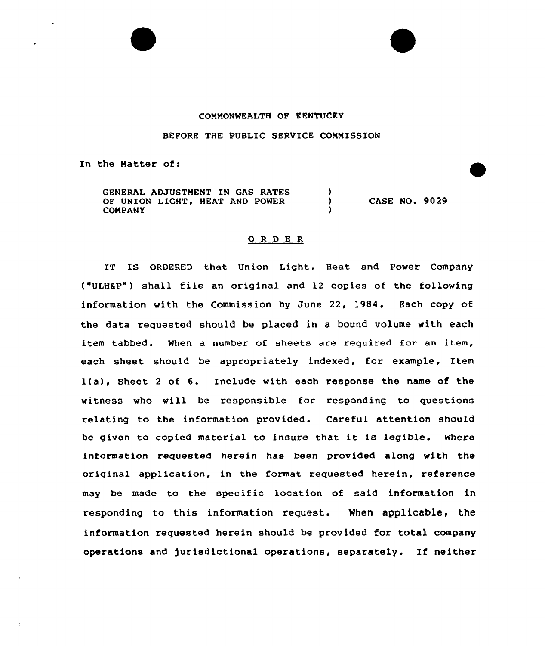# COMMONWEALTH OF KENTUCKY

BEFORE THE PUBLIC SERVICE COMMISSION

In the Matter of:

GENERAL ADJUSTMENT IN GAS RATES OF UNION LIGHT, HEAT AND POWER  $\lambda$ CASE NO. 9029 COMPANY

## 0 <sup>R</sup> <sup>D</sup> <sup>E</sup> <sup>R</sup>

IT IS ORDERED that Union Light, Heat and Power Company ( ULHSP") shall file an original and 12 copies of the following information with the Commission by June 22, 1984. Each copy of the data requested should be placed in a bound volume with each item tabbed. When a number of sheets are required for an item, each sheet should be appropriately indexed, for example, Item l(a), Sheet <sup>2</sup> of 6. Include with each response the name of the witness who will be responsible for responding to questions relating to the information provided. Careful attention should be given to copied material to insure that it is legible. Where information requested herein has been provided along with the original application, in the format requested herein, reference may be made to the specific location of said information in responding to this information request. When applicable, the information requested herein should be provided for total company operations and jurisdictional operations, separately. If neither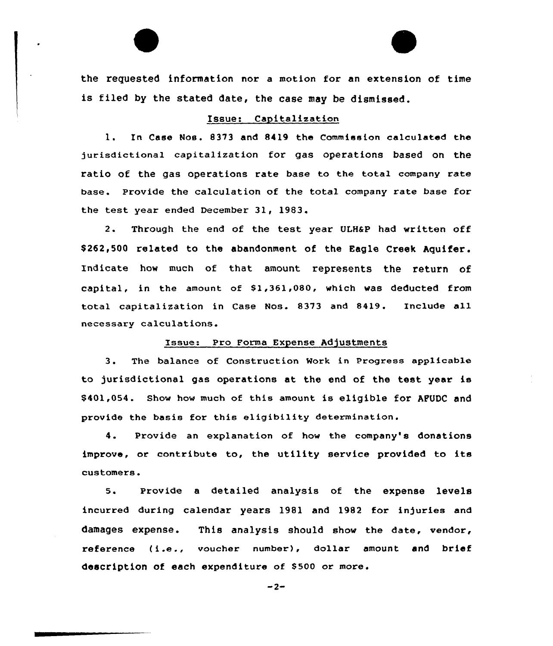the requested information nor a motion for an extension of time is filed by the stated date, the case may be dismissed.

## Issue: Capitalization

1. In Case Nos. 8373 and 8419 the Commission calculated the jurisdictional capitalization for gas operations based on the ratio of the gas operations rate base to the total company rate base. Provide the calculation of the total company rate base for the test year ended December 31, 1983.

2. Through the end of the test year ULH&P had written off \$ 262,500 related to the abandonment of the Eagle Creek Aquifer. Indicate how much of that amount represents the return of capital, in the amount of  $$1,361,080$ , which was deducted from total capitalization in Case Nos. 8373 and 8419. Include all necessary calculations.

#### Issue: Pro Forma Expense Adjustments

3. The balance of Construction Mork in Progress applicable to jurisdictional gas operations at the end of the test year is \$ 401,054. Show how much of this amount is eligible for APUDC and provide the basis for this eligibility determination.

4. Provide an explanation of how the company's donations improve, or contribute to, the utility service provided to its customers.

5. Provide <sup>a</sup> detailed analysis of the expense levels incurred during calendar years 1981 and 1982 for in)uries and damages expense. This analysis should show the date, vendor, reference ( i.e., voucher number), dollar amount and brief description of each expenditure of \$500 or more.

 $-2-$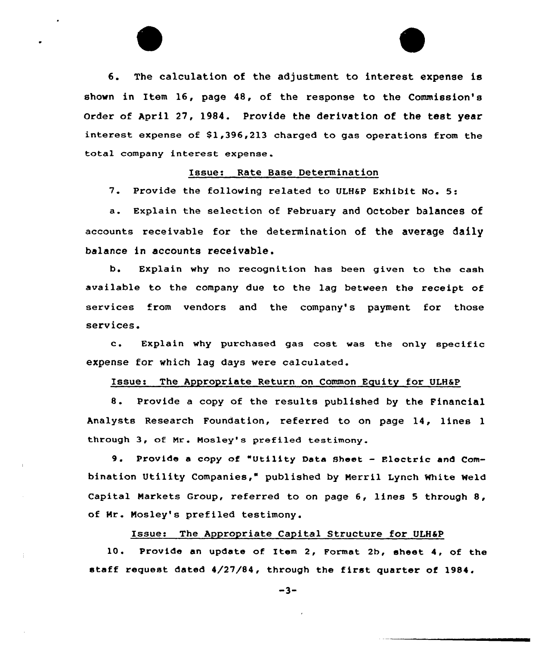6. The calculation of the adjustment to interest expense is shown in Item 16, page 48, of the response to the Commission's order of April 27, 1984. Provide the derivation of the test year interest expense of  $$1,396,213$  charged to gas operations from the total company interest expense.

## Issue: Rate Base Determination

7. Provide the following related to ULH6P Exhibit No. 5:

a. Explain the selection of February and October balances of accounts receivable for the determination of the average daily balance in accounts receivable .

b. Explain why no recognition has been given to the cash available to the company due to the lag between the receipt of services from vendors and the company's payment for those services.

c. Explain why purchased gas cost was the only specific expense for which lag days were calculated.

### Issue: The Appropriate Return on Common Equity for ULH&P

8. Provide <sup>a</sup> copy of the results published by the Financial Analysts Research Foundation, referred to on page 14, lines <sup>1</sup> through 3, ot Nr. Mosley's prefiled testimony.

9. Provide <sup>a</sup> copy of "Utility Data sheet — Electric and Combination Utility Companies," published by Nerril Lynch White Weld Capital Markets Group, referred to on page 6, lines <sup>5</sup> through 8, of Mr. Nosley's prefiled testimony.

### Issue: The Appropriate Capital Structure for ULHSP

10. Provide an update of Item 2, Format 2b, sheet 4, of the staff request dated 4/27/84, thxough the first quarter of 1984.

 $-3-$